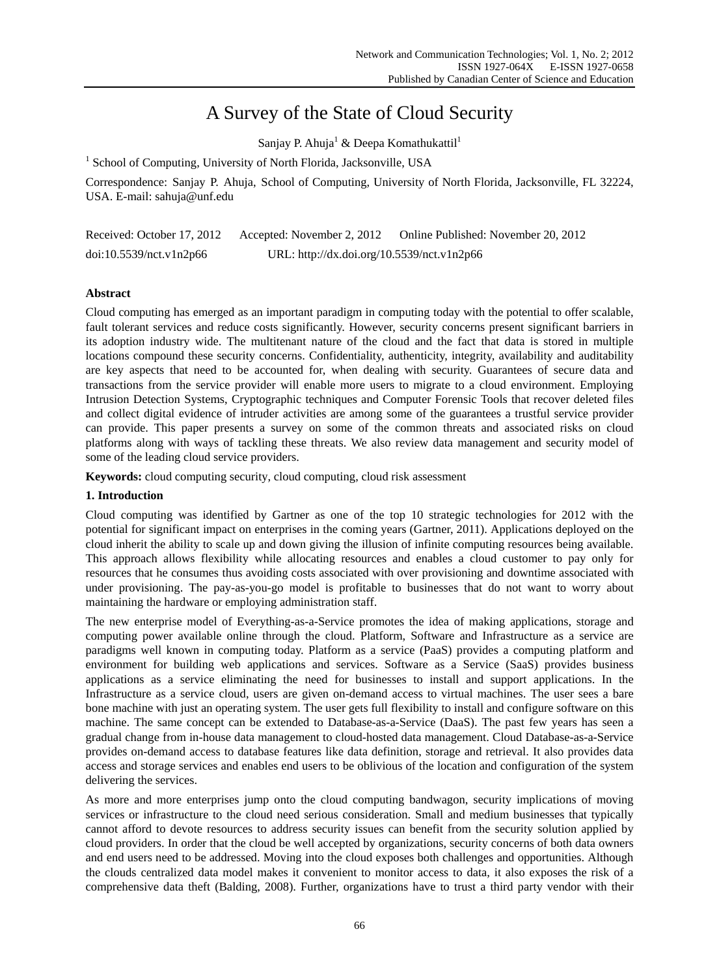# A Survey of the State of Cloud Security

Sanjay P. Ahuja<sup>1</sup> & Deepa Komathukattil<sup>1</sup>

<sup>1</sup> School of Computing, University of North Florida, Jacksonville, USA

Correspondence: Sanjay P. Ahuja, School of Computing, University of North Florida, Jacksonville, FL 32224, USA. E-mail: sahuja@unf.edu

| Received: October 17, 2012 | Accepted: November 2, 2012                 | Online Published: November 20, 2012 |
|----------------------------|--------------------------------------------|-------------------------------------|
| doi:10.5539/nct.v1n2p66    | URL: http://dx.doi.org/10.5539/nct.v1n2p66 |                                     |

# **Abstract**

Cloud computing has emerged as an important paradigm in computing today with the potential to offer scalable, fault tolerant services and reduce costs significantly. However, security concerns present significant barriers in its adoption industry wide. The multitenant nature of the cloud and the fact that data is stored in multiple locations compound these security concerns. Confidentiality, authenticity, integrity, availability and auditability are key aspects that need to be accounted for, when dealing with security. Guarantees of secure data and transactions from the service provider will enable more users to migrate to a cloud environment. Employing Intrusion Detection Systems, Cryptographic techniques and Computer Forensic Tools that recover deleted files and collect digital evidence of intruder activities are among some of the guarantees a trustful service provider can provide. This paper presents a survey on some of the common threats and associated risks on cloud platforms along with ways of tackling these threats. We also review data management and security model of some of the leading cloud service providers.

**Keywords:** cloud computing security, cloud computing, cloud risk assessment

# **1. Introduction**

Cloud computing was identified by Gartner as one of the top 10 strategic technologies for 2012 with the potential for significant impact on enterprises in the coming years (Gartner, 2011). Applications deployed on the cloud inherit the ability to scale up and down giving the illusion of infinite computing resources being available. This approach allows flexibility while allocating resources and enables a cloud customer to pay only for resources that he consumes thus avoiding costs associated with over provisioning and downtime associated with under provisioning. The pay-as-you-go model is profitable to businesses that do not want to worry about maintaining the hardware or employing administration staff.

The new enterprise model of Everything-as-a-Service promotes the idea of making applications, storage and computing power available online through the cloud. Platform, Software and Infrastructure as a service are paradigms well known in computing today. Platform as a service (PaaS) provides a computing platform and environment for building web applications and services. Software as a Service (SaaS) provides business applications as a service eliminating the need for businesses to install and support applications. In the Infrastructure as a service cloud, users are given on-demand access to virtual machines. The user sees a bare bone machine with just an operating system. The user gets full flexibility to install and configure software on this machine. The same concept can be extended to Database-as-a-Service (DaaS). The past few years has seen a gradual change from in-house data management to cloud-hosted data management. Cloud Database-as-a-Service provides on-demand access to database features like data definition, storage and retrieval. It also provides data access and storage services and enables end users to be oblivious of the location and configuration of the system delivering the services.

As more and more enterprises jump onto the cloud computing bandwagon, security implications of moving services or infrastructure to the cloud need serious consideration. Small and medium businesses that typically cannot afford to devote resources to address security issues can benefit from the security solution applied by cloud providers. In order that the cloud be well accepted by organizations, security concerns of both data owners and end users need to be addressed. Moving into the cloud exposes both challenges and opportunities. Although the clouds centralized data model makes it convenient to monitor access to data, it also exposes the risk of a comprehensive data theft (Balding, 2008). Further, organizations have to trust a third party vendor with their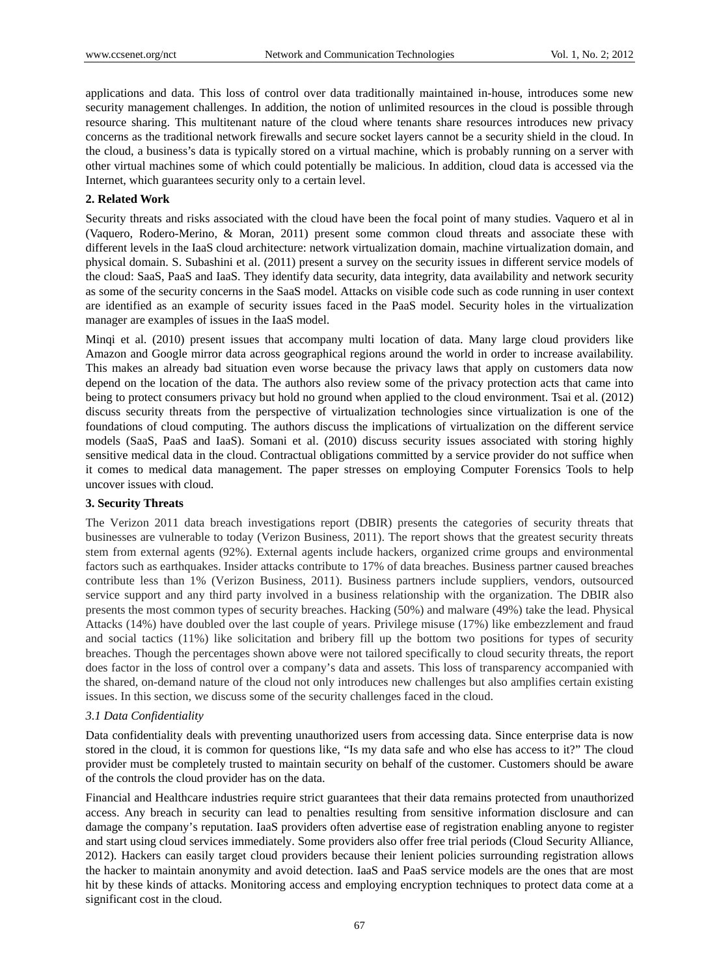applications and data. This loss of control over data traditionally maintained in-house, introduces some new security management challenges. In addition, the notion of unlimited resources in the cloud is possible through resource sharing. This multitenant nature of the cloud where tenants share resources introduces new privacy concerns as the traditional network firewalls and secure socket layers cannot be a security shield in the cloud. In the cloud, a business's data is typically stored on a virtual machine, which is probably running on a server with other virtual machines some of which could potentially be malicious. In addition, cloud data is accessed via the Internet, which guarantees security only to a certain level.

# **2. Related Work**

Security threats and risks associated with the cloud have been the focal point of many studies. Vaquero et al in (Vaquero, Rodero-Merino, & Moran, 2011) present some common cloud threats and associate these with different levels in the IaaS cloud architecture: network virtualization domain, machine virtualization domain, and physical domain. S. Subashini et al. (2011) present a survey on the security issues in different service models of the cloud: SaaS, PaaS and IaaS. They identify data security, data integrity, data availability and network security as some of the security concerns in the SaaS model. Attacks on visible code such as code running in user context are identified as an example of security issues faced in the PaaS model. Security holes in the virtualization manager are examples of issues in the IaaS model.

Minqi et al. (2010) present issues that accompany multi location of data. Many large cloud providers like Amazon and Google mirror data across geographical regions around the world in order to increase availability. This makes an already bad situation even worse because the privacy laws that apply on customers data now depend on the location of the data. The authors also review some of the privacy protection acts that came into being to protect consumers privacy but hold no ground when applied to the cloud environment. Tsai et al. (2012) discuss security threats from the perspective of virtualization technologies since virtualization is one of the foundations of cloud computing. The authors discuss the implications of virtualization on the different service models (SaaS, PaaS and IaaS). Somani et al. (2010) discuss security issues associated with storing highly sensitive medical data in the cloud. Contractual obligations committed by a service provider do not suffice when it comes to medical data management. The paper stresses on employing Computer Forensics Tools to help uncover issues with cloud.

## **3. Security Threats**

The Verizon 2011 data breach investigations report (DBIR) presents the categories of security threats that businesses are vulnerable to today (Verizon Business, 2011). The report shows that the greatest security threats stem from external agents (92%). External agents include hackers, organized crime groups and environmental factors such as earthquakes. Insider attacks contribute to 17% of data breaches. Business partner caused breaches contribute less than 1% (Verizon Business, 2011). Business partners include suppliers, vendors, outsourced service support and any third party involved in a business relationship with the organization. The DBIR also presents the most common types of security breaches. Hacking (50%) and malware (49%) take the lead. Physical Attacks (14%) have doubled over the last couple of years. Privilege misuse (17%) like embezzlement and fraud and social tactics (11%) like solicitation and bribery fill up the bottom two positions for types of security breaches. Though the percentages shown above were not tailored specifically to cloud security threats, the report does factor in the loss of control over a company's data and assets. This loss of transparency accompanied with the shared, on-demand nature of the cloud not only introduces new challenges but also amplifies certain existing issues. In this section, we discuss some of the security challenges faced in the cloud.

#### *3.1 Data Confidentiality*

Data confidentiality deals with preventing unauthorized users from accessing data. Since enterprise data is now stored in the cloud, it is common for questions like, "Is my data safe and who else has access to it?" The cloud provider must be completely trusted to maintain security on behalf of the customer. Customers should be aware of the controls the cloud provider has on the data.

Financial and Healthcare industries require strict guarantees that their data remains protected from unauthorized access. Any breach in security can lead to penalties resulting from sensitive information disclosure and can damage the company's reputation. IaaS providers often advertise ease of registration enabling anyone to register and start using cloud services immediately. Some providers also offer free trial periods (Cloud Security Alliance, 2012). Hackers can easily target cloud providers because their lenient policies surrounding registration allows the hacker to maintain anonymity and avoid detection. IaaS and PaaS service models are the ones that are most hit by these kinds of attacks. Monitoring access and employing encryption techniques to protect data come at a significant cost in the cloud.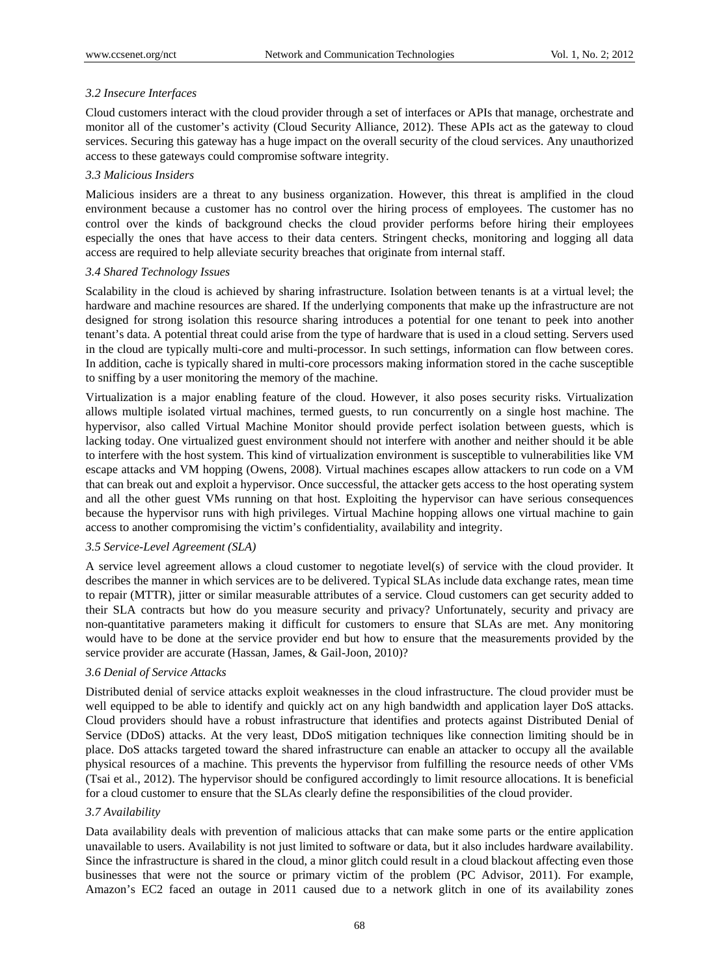# *3.2 Insecure Interfaces*

Cloud customers interact with the cloud provider through a set of interfaces or APIs that manage, orchestrate and monitor all of the customer's activity (Cloud Security Alliance, 2012). These APIs act as the gateway to cloud services. Securing this gateway has a huge impact on the overall security of the cloud services. Any unauthorized access to these gateways could compromise software integrity.

# *3.3 Malicious Insiders*

Malicious insiders are a threat to any business organization. However, this threat is amplified in the cloud environment because a customer has no control over the hiring process of employees. The customer has no control over the kinds of background checks the cloud provider performs before hiring their employees especially the ones that have access to their data centers. Stringent checks, monitoring and logging all data access are required to help alleviate security breaches that originate from internal staff.

# *3.4 Shared Technology Issues*

Scalability in the cloud is achieved by sharing infrastructure. Isolation between tenants is at a virtual level; the hardware and machine resources are shared. If the underlying components that make up the infrastructure are not designed for strong isolation this resource sharing introduces a potential for one tenant to peek into another tenant's data. A potential threat could arise from the type of hardware that is used in a cloud setting. Servers used in the cloud are typically multi-core and multi-processor. In such settings, information can flow between cores. In addition, cache is typically shared in multi-core processors making information stored in the cache susceptible to sniffing by a user monitoring the memory of the machine.

Virtualization is a major enabling feature of the cloud. However, it also poses security risks. Virtualization allows multiple isolated virtual machines, termed guests, to run concurrently on a single host machine. The hypervisor, also called Virtual Machine Monitor should provide perfect isolation between guests, which is lacking today. One virtualized guest environment should not interfere with another and neither should it be able to interfere with the host system. This kind of virtualization environment is susceptible to vulnerabilities like VM escape attacks and VM hopping (Owens, 2008). Virtual machines escapes allow attackers to run code on a VM that can break out and exploit a hypervisor. Once successful, the attacker gets access to the host operating system and all the other guest VMs running on that host. Exploiting the hypervisor can have serious consequences because the hypervisor runs with high privileges. Virtual Machine hopping allows one virtual machine to gain access to another compromising the victim's confidentiality, availability and integrity.

# *3.5 Service-Level Agreement (SLA)*

A service level agreement allows a cloud customer to negotiate level(s) of service with the cloud provider. It describes the manner in which services are to be delivered. Typical SLAs include data exchange rates, mean time to repair (MTTR), jitter or similar measurable attributes of a service. Cloud customers can get security added to their SLA contracts but how do you measure security and privacy? Unfortunately, security and privacy are non-quantitative parameters making it difficult for customers to ensure that SLAs are met. Any monitoring would have to be done at the service provider end but how to ensure that the measurements provided by the service provider are accurate (Hassan, James, & Gail-Joon, 2010)?

# *3.6 Denial of Service Attacks*

Distributed denial of service attacks exploit weaknesses in the cloud infrastructure. The cloud provider must be well equipped to be able to identify and quickly act on any high bandwidth and application layer DoS attacks. Cloud providers should have a robust infrastructure that identifies and protects against Distributed Denial of Service (DDoS) attacks. At the very least, DDoS mitigation techniques like connection limiting should be in place. DoS attacks targeted toward the shared infrastructure can enable an attacker to occupy all the available physical resources of a machine. This prevents the hypervisor from fulfilling the resource needs of other VMs (Tsai et al., 2012). The hypervisor should be configured accordingly to limit resource allocations. It is beneficial for a cloud customer to ensure that the SLAs clearly define the responsibilities of the cloud provider.

# *3.7 Availability*

Data availability deals with prevention of malicious attacks that can make some parts or the entire application unavailable to users. Availability is not just limited to software or data, but it also includes hardware availability. Since the infrastructure is shared in the cloud, a minor glitch could result in a cloud blackout affecting even those businesses that were not the source or primary victim of the problem (PC Advisor, 2011). For example, Amazon's EC2 faced an outage in 2011 caused due to a network glitch in one of its availability zones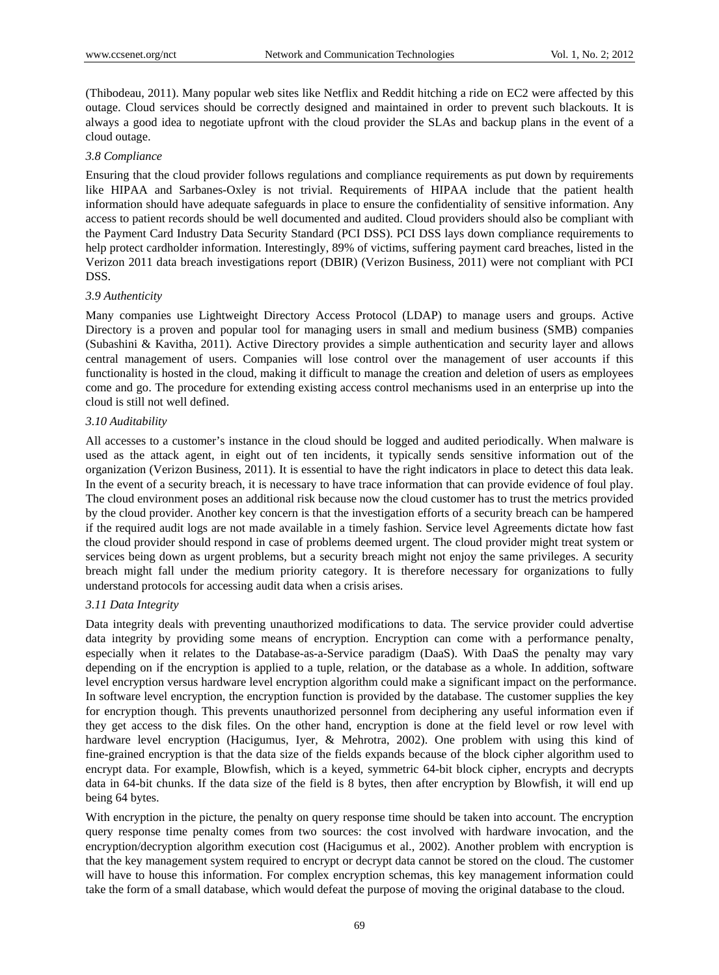(Thibodeau, 2011). Many popular web sites like Netflix and Reddit hitching a ride on EC2 were affected by this outage. Cloud services should be correctly designed and maintained in order to prevent such blackouts. It is always a good idea to negotiate upfront with the cloud provider the SLAs and backup plans in the event of a cloud outage.

#### *3.8 Compliance*

Ensuring that the cloud provider follows regulations and compliance requirements as put down by requirements like HIPAA and Sarbanes-Oxley is not trivial. Requirements of HIPAA include that the patient health information should have adequate safeguards in place to ensure the confidentiality of sensitive information. Any access to patient records should be well documented and audited. Cloud providers should also be compliant with the Payment Card Industry Data Security Standard (PCI DSS). PCI DSS lays down compliance requirements to help protect cardholder information. Interestingly, 89% of victims, suffering payment card breaches, listed in the Verizon 2011 data breach investigations report (DBIR) (Verizon Business, 2011) were not compliant with PCI DSS.

## *3.9 Authenticity*

Many companies use Lightweight Directory Access Protocol (LDAP) to manage users and groups. Active Directory is a proven and popular tool for managing users in small and medium business (SMB) companies (Subashini & Kavitha, 2011). Active Directory provides a simple authentication and security layer and allows central management of users. Companies will lose control over the management of user accounts if this functionality is hosted in the cloud, making it difficult to manage the creation and deletion of users as employees come and go. The procedure for extending existing access control mechanisms used in an enterprise up into the cloud is still not well defined.

# *3.10 Auditability*

All accesses to a customer's instance in the cloud should be logged and audited periodically. When malware is used as the attack agent, in eight out of ten incidents, it typically sends sensitive information out of the organization (Verizon Business, 2011). It is essential to have the right indicators in place to detect this data leak. In the event of a security breach, it is necessary to have trace information that can provide evidence of foul play. The cloud environment poses an additional risk because now the cloud customer has to trust the metrics provided by the cloud provider. Another key concern is that the investigation efforts of a security breach can be hampered if the required audit logs are not made available in a timely fashion. Service level Agreements dictate how fast the cloud provider should respond in case of problems deemed urgent. The cloud provider might treat system or services being down as urgent problems, but a security breach might not enjoy the same privileges. A security breach might fall under the medium priority category. It is therefore necessary for organizations to fully understand protocols for accessing audit data when a crisis arises.

# *3.11 Data Integrity*

Data integrity deals with preventing unauthorized modifications to data. The service provider could advertise data integrity by providing some means of encryption. Encryption can come with a performance penalty, especially when it relates to the Database-as-a-Service paradigm (DaaS). With DaaS the penalty may vary depending on if the encryption is applied to a tuple, relation, or the database as a whole. In addition, software level encryption versus hardware level encryption algorithm could make a significant impact on the performance. In software level encryption, the encryption function is provided by the database. The customer supplies the key for encryption though. This prevents unauthorized personnel from deciphering any useful information even if they get access to the disk files. On the other hand, encryption is done at the field level or row level with hardware level encryption (Hacigumus, Iyer, & Mehrotra, 2002). One problem with using this kind of fine-grained encryption is that the data size of the fields expands because of the block cipher algorithm used to encrypt data. For example, Blowfish, which is a keyed, symmetric 64-bit block cipher, encrypts and decrypts data in 64-bit chunks. If the data size of the field is 8 bytes, then after encryption by Blowfish, it will end up being 64 bytes.

With encryption in the picture, the penalty on query response time should be taken into account. The encryption query response time penalty comes from two sources: the cost involved with hardware invocation, and the encryption/decryption algorithm execution cost (Hacigumus et al., 2002). Another problem with encryption is that the key management system required to encrypt or decrypt data cannot be stored on the cloud. The customer will have to house this information. For complex encryption schemas, this key management information could take the form of a small database, which would defeat the purpose of moving the original database to the cloud.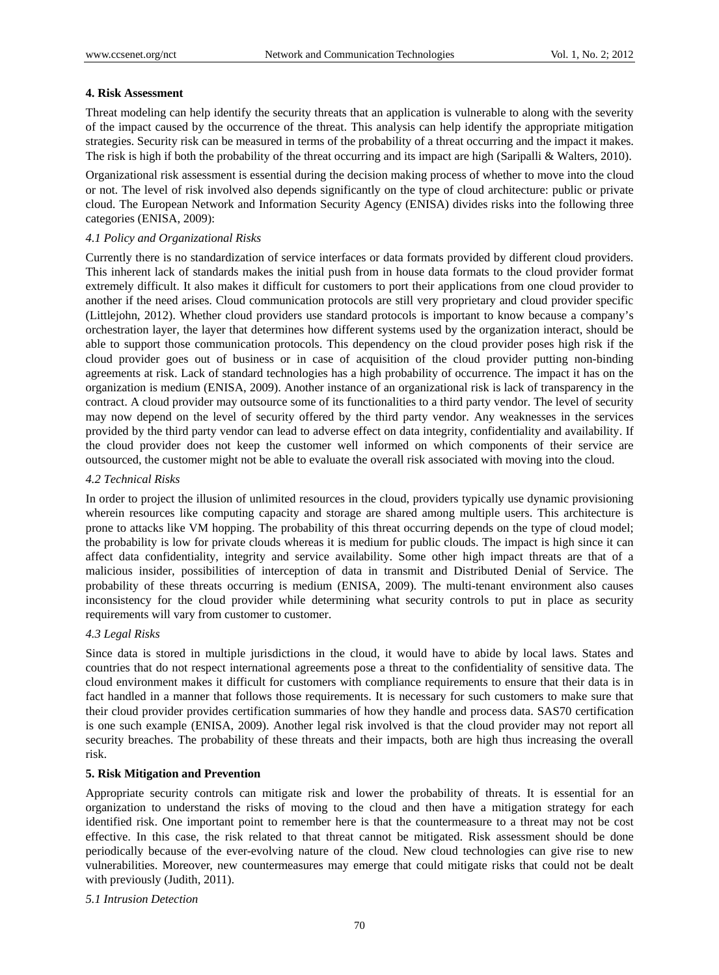#### **4. Risk Assessment**

Threat modeling can help identify the security threats that an application is vulnerable to along with the severity of the impact caused by the occurrence of the threat. This analysis can help identify the appropriate mitigation strategies. Security risk can be measured in terms of the probability of a threat occurring and the impact it makes. The risk is high if both the probability of the threat occurring and its impact are high (Saripalli & Walters, 2010).

Organizational risk assessment is essential during the decision making process of whether to move into the cloud or not. The level of risk involved also depends significantly on the type of cloud architecture: public or private cloud. The European Network and Information Security Agency (ENISA) divides risks into the following three categories (ENISA, 2009):

## *4.1 Policy and Organizational Risks*

Currently there is no standardization of service interfaces or data formats provided by different cloud providers. This inherent lack of standards makes the initial push from in house data formats to the cloud provider format extremely difficult. It also makes it difficult for customers to port their applications from one cloud provider to another if the need arises. Cloud communication protocols are still very proprietary and cloud provider specific (Littlejohn, 2012). Whether cloud providers use standard protocols is important to know because a company's orchestration layer, the layer that determines how different systems used by the organization interact, should be able to support those communication protocols. This dependency on the cloud provider poses high risk if the cloud provider goes out of business or in case of acquisition of the cloud provider putting non-binding agreements at risk. Lack of standard technologies has a high probability of occurrence. The impact it has on the organization is medium (ENISA, 2009). Another instance of an organizational risk is lack of transparency in the contract. A cloud provider may outsource some of its functionalities to a third party vendor. The level of security may now depend on the level of security offered by the third party vendor. Any weaknesses in the services provided by the third party vendor can lead to adverse effect on data integrity, confidentiality and availability. If the cloud provider does not keep the customer well informed on which components of their service are outsourced, the customer might not be able to evaluate the overall risk associated with moving into the cloud.

# *4.2 Technical Risks*

In order to project the illusion of unlimited resources in the cloud, providers typically use dynamic provisioning wherein resources like computing capacity and storage are shared among multiple users. This architecture is prone to attacks like VM hopping. The probability of this threat occurring depends on the type of cloud model; the probability is low for private clouds whereas it is medium for public clouds. The impact is high since it can affect data confidentiality, integrity and service availability. Some other high impact threats are that of a malicious insider, possibilities of interception of data in transmit and Distributed Denial of Service. The probability of these threats occurring is medium (ENISA, 2009). The multi-tenant environment also causes inconsistency for the cloud provider while determining what security controls to put in place as security requirements will vary from customer to customer.

## *4.3 Legal Risks*

Since data is stored in multiple jurisdictions in the cloud, it would have to abide by local laws. States and countries that do not respect international agreements pose a threat to the confidentiality of sensitive data. The cloud environment makes it difficult for customers with compliance requirements to ensure that their data is in fact handled in a manner that follows those requirements. It is necessary for such customers to make sure that their cloud provider provides certification summaries of how they handle and process data. SAS70 certification is one such example (ENISA, 2009). Another legal risk involved is that the cloud provider may not report all security breaches. The probability of these threats and their impacts, both are high thus increasing the overall risk.

## **5. Risk Mitigation and Prevention**

Appropriate security controls can mitigate risk and lower the probability of threats. It is essential for an organization to understand the risks of moving to the cloud and then have a mitigation strategy for each identified risk. One important point to remember here is that the countermeasure to a threat may not be cost effective. In this case, the risk related to that threat cannot be mitigated. Risk assessment should be done periodically because of the ever-evolving nature of the cloud. New cloud technologies can give rise to new vulnerabilities. Moreover, new countermeasures may emerge that could mitigate risks that could not be dealt with previously (Judith, 2011).

*5.1 Intrusion Detection*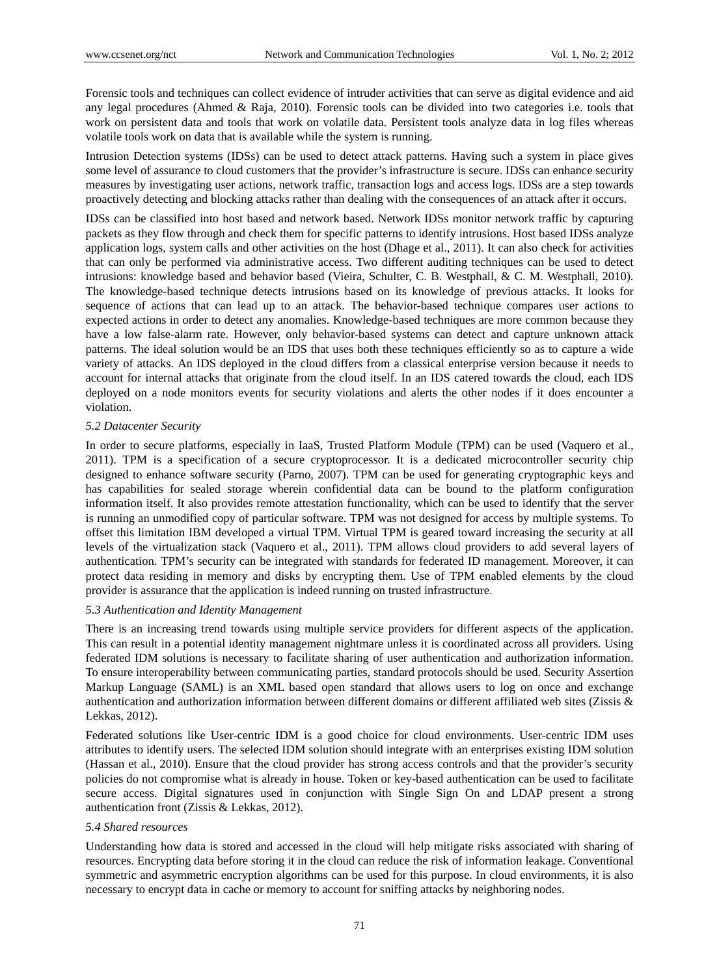Forensic tools and techniques can collect evidence of intruder activities that can serve as digital evidence and aid any legal procedures (Ahmed & Raja, 2010). Forensic tools can be divided into two categories i.e. tools that work on persistent data and tools that work on volatile data. Persistent tools analyze data in log files whereas volatile tools work on data that is available while the system is running.

Intrusion Detection systems (IDSs) can be used to detect attack patterns. Having such a system in place gives some level of assurance to cloud customers that the provider's infrastructure is secure. IDSs can enhance security measures by investigating user actions, network traffic, transaction logs and access logs. IDSs are a step towards proactively detecting and blocking attacks rather than dealing with the consequences of an attack after it occurs.

IDSs can be classified into host based and network based. Network IDSs monitor network traffic by capturing packets as they flow through and check them for specific patterns to identify intrusions. Host based IDSs analyze application logs, system calls and other activities on the host (Dhage et al., 2011). It can also check for activities that can only be performed via administrative access. Two different auditing techniques can be used to detect intrusions: knowledge based and behavior based (Vieira, Schulter, C. B. Westphall, & C. M. Westphall, 2010). The knowledge-based technique detects intrusions based on its knowledge of previous attacks. It looks for sequence of actions that can lead up to an attack. The behavior-based technique compares user actions to expected actions in order to detect any anomalies. Knowledge-based techniques are more common because they have a low false-alarm rate. However, only behavior-based systems can detect and capture unknown attack patterns. The ideal solution would be an IDS that uses both these techniques efficiently so as to capture a wide variety of attacks. An IDS deployed in the cloud differs from a classical enterprise version because it needs to account for internal attacks that originate from the cloud itself. In an IDS catered towards the cloud, each IDS deployed on a node monitors events for security violations and alerts the other nodes if it does encounter a violation.

# *5.2 Datacenter Security*

In order to secure platforms, especially in IaaS, Trusted Platform Module (TPM) can be used (Vaquero et al., 2011). TPM is a specification of a secure cryptoprocessor. It is a dedicated microcontroller security chip designed to enhance software security (Parno, 2007). TPM can be used for generating cryptographic keys and has capabilities for sealed storage wherein confidential data can be bound to the platform configuration information itself. It also provides remote attestation functionality, which can be used to identify that the server is running an unmodified copy of particular software. TPM was not designed for access by multiple systems. To offset this limitation IBM developed a virtual TPM. Virtual TPM is geared toward increasing the security at all levels of the virtualization stack (Vaquero et al., 2011). TPM allows cloud providers to add several layers of authentication. TPM's security can be integrated with standards for federated ID management. Moreover, it can protect data residing in memory and disks by encrypting them. Use of TPM enabled elements by the cloud provider is assurance that the application is indeed running on trusted infrastructure.

## *5.3 Authentication and Identity Management*

There is an increasing trend towards using multiple service providers for different aspects of the application. This can result in a potential identity management nightmare unless it is coordinated across all providers. Using federated IDM solutions is necessary to facilitate sharing of user authentication and authorization information. To ensure interoperability between communicating parties, standard protocols should be used. Security Assertion Markup Language (SAML) is an XML based open standard that allows users to log on once and exchange authentication and authorization information between different domains or different affiliated web sites (Zissis & Lekkas, 2012).

Federated solutions like User-centric IDM is a good choice for cloud environments. User-centric IDM uses attributes to identify users. The selected IDM solution should integrate with an enterprises existing IDM solution (Hassan et al., 2010). Ensure that the cloud provider has strong access controls and that the provider's security policies do not compromise what is already in house. Token or key-based authentication can be used to facilitate secure access. Digital signatures used in conjunction with Single Sign On and LDAP present a strong authentication front (Zissis & Lekkas, 2012).

## *5.4 Shared resources*

Understanding how data is stored and accessed in the cloud will help mitigate risks associated with sharing of resources. Encrypting data before storing it in the cloud can reduce the risk of information leakage. Conventional symmetric and asymmetric encryption algorithms can be used for this purpose. In cloud environments, it is also necessary to encrypt data in cache or memory to account for sniffing attacks by neighboring nodes.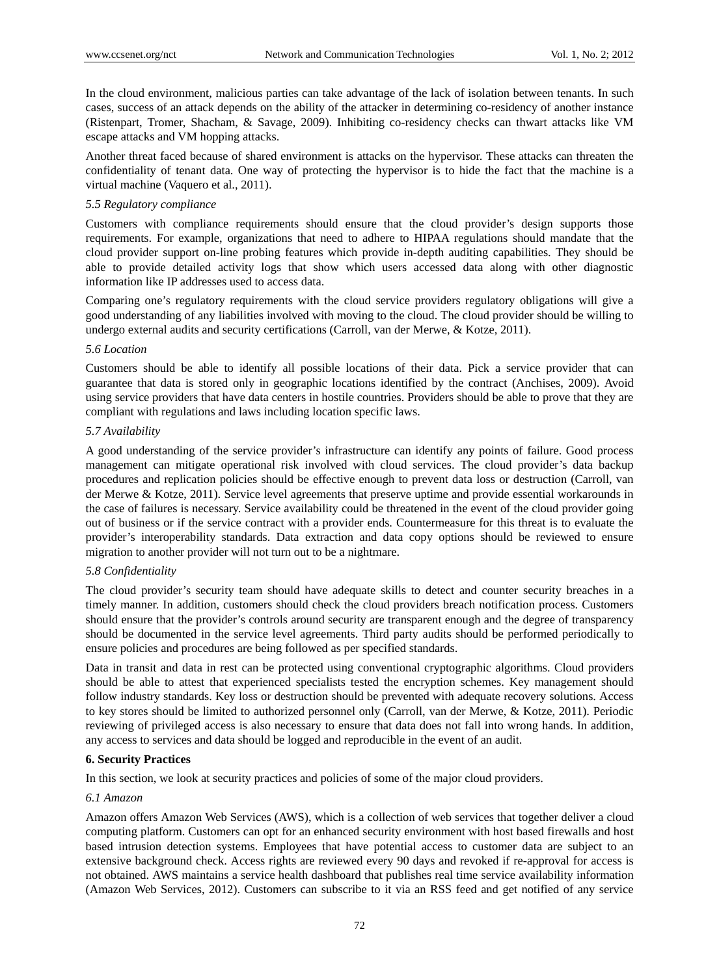In the cloud environment, malicious parties can take advantage of the lack of isolation between tenants. In such cases, success of an attack depends on the ability of the attacker in determining co-residency of another instance (Ristenpart, Tromer, Shacham, & Savage, 2009). Inhibiting co-residency checks can thwart attacks like VM escape attacks and VM hopping attacks.

Another threat faced because of shared environment is attacks on the hypervisor. These attacks can threaten the confidentiality of tenant data. One way of protecting the hypervisor is to hide the fact that the machine is a virtual machine (Vaquero et al., 2011).

## *5.5 Regulatory compliance*

Customers with compliance requirements should ensure that the cloud provider's design supports those requirements. For example, organizations that need to adhere to HIPAA regulations should mandate that the cloud provider support on-line probing features which provide in-depth auditing capabilities. They should be able to provide detailed activity logs that show which users accessed data along with other diagnostic information like IP addresses used to access data.

Comparing one's regulatory requirements with the cloud service providers regulatory obligations will give a good understanding of any liabilities involved with moving to the cloud. The cloud provider should be willing to undergo external audits and security certifications (Carroll, van der Merwe, & Kotze, 2011).

# *5.6 Location*

Customers should be able to identify all possible locations of their data. Pick a service provider that can guarantee that data is stored only in geographic locations identified by the contract (Anchises, 2009). Avoid using service providers that have data centers in hostile countries. Providers should be able to prove that they are compliant with regulations and laws including location specific laws.

## *5.7 Availability*

A good understanding of the service provider's infrastructure can identify any points of failure. Good process management can mitigate operational risk involved with cloud services. The cloud provider's data backup procedures and replication policies should be effective enough to prevent data loss or destruction (Carroll, van der Merwe & Kotze, 2011). Service level agreements that preserve uptime and provide essential workarounds in the case of failures is necessary. Service availability could be threatened in the event of the cloud provider going out of business or if the service contract with a provider ends. Countermeasure for this threat is to evaluate the provider's interoperability standards. Data extraction and data copy options should be reviewed to ensure migration to another provider will not turn out to be a nightmare.

## *5.8 Confidentiality*

The cloud provider's security team should have adequate skills to detect and counter security breaches in a timely manner. In addition, customers should check the cloud providers breach notification process. Customers should ensure that the provider's controls around security are transparent enough and the degree of transparency should be documented in the service level agreements. Third party audits should be performed periodically to ensure policies and procedures are being followed as per specified standards.

Data in transit and data in rest can be protected using conventional cryptographic algorithms. Cloud providers should be able to attest that experienced specialists tested the encryption schemes. Key management should follow industry standards. Key loss or destruction should be prevented with adequate recovery solutions. Access to key stores should be limited to authorized personnel only (Carroll, van der Merwe, & Kotze, 2011). Periodic reviewing of privileged access is also necessary to ensure that data does not fall into wrong hands. In addition, any access to services and data should be logged and reproducible in the event of an audit.

# **6. Security Practices**

In this section, we look at security practices and policies of some of the major cloud providers.

#### *6.1 Amazon*

Amazon offers Amazon Web Services (AWS), which is a collection of web services that together deliver a cloud computing platform. Customers can opt for an enhanced security environment with host based firewalls and host based intrusion detection systems. Employees that have potential access to customer data are subject to an extensive background check. Access rights are reviewed every 90 days and revoked if re-approval for access is not obtained. AWS maintains a service health dashboard that publishes real time service availability information (Amazon Web Services, 2012). Customers can subscribe to it via an RSS feed and get notified of any service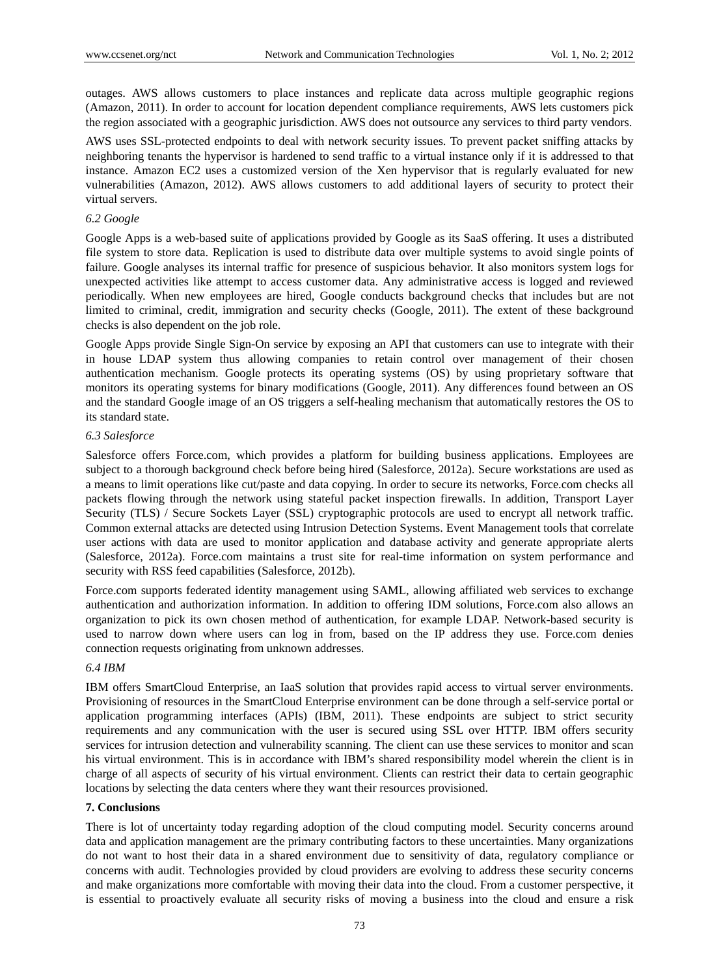outages. AWS allows customers to place instances and replicate data across multiple geographic regions (Amazon, 2011). In order to account for location dependent compliance requirements, AWS lets customers pick the region associated with a geographic jurisdiction. AWS does not outsource any services to third party vendors.

AWS uses SSL-protected endpoints to deal with network security issues. To prevent packet sniffing attacks by neighboring tenants the hypervisor is hardened to send traffic to a virtual instance only if it is addressed to that instance. Amazon EC2 uses a customized version of the Xen hypervisor that is regularly evaluated for new vulnerabilities (Amazon, 2012). AWS allows customers to add additional layers of security to protect their virtual servers.

## *6.2 Google*

Google Apps is a web-based suite of applications provided by Google as its SaaS offering. It uses a distributed file system to store data. Replication is used to distribute data over multiple systems to avoid single points of failure. Google analyses its internal traffic for presence of suspicious behavior. It also monitors system logs for unexpected activities like attempt to access customer data. Any administrative access is logged and reviewed periodically. When new employees are hired, Google conducts background checks that includes but are not limited to criminal, credit, immigration and security checks (Google, 2011). The extent of these background checks is also dependent on the job role.

Google Apps provide Single Sign-On service by exposing an API that customers can use to integrate with their in house LDAP system thus allowing companies to retain control over management of their chosen authentication mechanism. Google protects its operating systems (OS) by using proprietary software that monitors its operating systems for binary modifications (Google, 2011). Any differences found between an OS and the standard Google image of an OS triggers a self-healing mechanism that automatically restores the OS to its standard state.

#### *6.3 Salesforce*

Salesforce offers Force.com, which provides a platform for building business applications. Employees are subject to a thorough background check before being hired (Salesforce, 2012a). Secure workstations are used as a means to limit operations like cut/paste and data copying. In order to secure its networks, Force.com checks all packets flowing through the network using stateful packet inspection firewalls. In addition, Transport Layer Security (TLS) / Secure Sockets Layer (SSL) cryptographic protocols are used to encrypt all network traffic. Common external attacks are detected using Intrusion Detection Systems. Event Management tools that correlate user actions with data are used to monitor application and database activity and generate appropriate alerts (Salesforce, 2012a). Force.com maintains a trust site for real-time information on system performance and security with RSS feed capabilities (Salesforce, 2012b).

Force.com supports federated identity management using SAML, allowing affiliated web services to exchange authentication and authorization information. In addition to offering IDM solutions, Force.com also allows an organization to pick its own chosen method of authentication, for example LDAP. Network-based security is used to narrow down where users can log in from, based on the IP address they use. Force.com denies connection requests originating from unknown addresses.

# *6.4 IBM*

IBM offers SmartCloud Enterprise, an IaaS solution that provides rapid access to virtual server environments. Provisioning of resources in the SmartCloud Enterprise environment can be done through a self-service portal or application programming interfaces (APIs) (IBM, 2011). These endpoints are subject to strict security requirements and any communication with the user is secured using SSL over HTTP. IBM offers security services for intrusion detection and vulnerability scanning. The client can use these services to monitor and scan his virtual environment. This is in accordance with IBM's shared responsibility model wherein the client is in charge of all aspects of security of his virtual environment. Clients can restrict their data to certain geographic locations by selecting the data centers where they want their resources provisioned.

#### **7. Conclusions**

There is lot of uncertainty today regarding adoption of the cloud computing model. Security concerns around data and application management are the primary contributing factors to these uncertainties. Many organizations do not want to host their data in a shared environment due to sensitivity of data, regulatory compliance or concerns with audit. Technologies provided by cloud providers are evolving to address these security concerns and make organizations more comfortable with moving their data into the cloud. From a customer perspective, it is essential to proactively evaluate all security risks of moving a business into the cloud and ensure a risk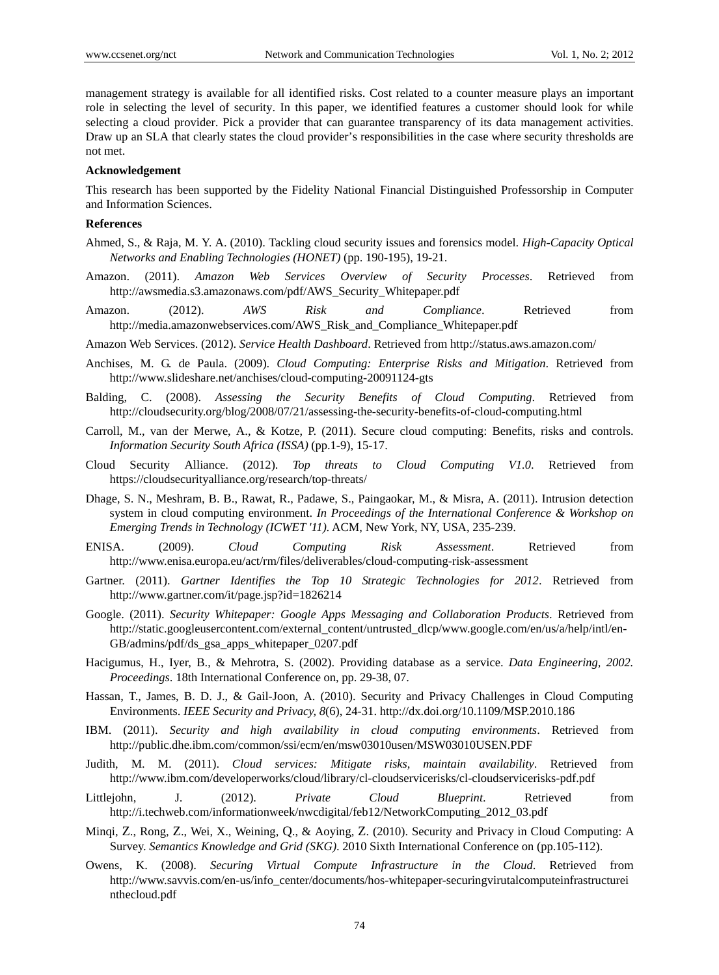management strategy is available for all identified risks. Cost related to a counter measure plays an important role in selecting the level of security. In this paper, we identified features a customer should look for while selecting a cloud provider. Pick a provider that can guarantee transparency of its data management activities. Draw up an SLA that clearly states the cloud provider's responsibilities in the case where security thresholds are not met.

### **Acknowledgement**

This research has been supported by the Fidelity National Financial Distinguished Professorship in Computer and Information Sciences.

# **References**

- Ahmed, S., & Raja, M. Y. A. (2010). Tackling cloud security issues and forensics model. *High-Capacity Optical Networks and Enabling Technologies (HONET)* (pp. 190-195), 19-21.
- Amazon. (2011). *Amazon Web Services Overview of Security Processes*. Retrieved from http://awsmedia.s3.amazonaws.com/pdf/AWS\_Security\_Whitepaper.pdf
- Amazon. (2012). *AWS Risk and Compliance*. Retrieved from http://media.amazonwebservices.com/AWS\_Risk\_and\_Compliance\_Whitepaper.pdf
- Amazon Web Services. (2012). *Service Health Dashboard*. Retrieved from http://status.aws.amazon.com/
- Anchises, M. G. de Paula. (2009). *Cloud Computing: Enterprise Risks and Mitigation*. Retrieved from http://www.slideshare.net/anchises/cloud-computing-20091124-gts
- Balding, C. (2008). *Assessing the Security Benefits of Cloud Computing*. Retrieved from http://cloudsecurity.org/blog/2008/07/21/assessing-the-security-benefits-of-cloud-computing.html
- Carroll, M., van der Merwe, A., & Kotze, P. (2011). Secure cloud computing: Benefits, risks and controls. *Information Security South Africa (ISSA)* (pp.1-9), 15-17.
- Cloud Security Alliance. (2012). *Top threats to Cloud Computing V1.0*. Retrieved from https://cloudsecurityalliance.org/research/top-threats/
- Dhage, S. N., Meshram, B. B., Rawat, R., Padawe, S., Paingaokar, M., & Misra, A. (2011). Intrusion detection system in cloud computing environment. *In Proceedings of the International Conference & Workshop on Emerging Trends in Technology (ICWET '11)*. ACM, New York, NY, USA, 235-239.
- ENISA. (2009). *Cloud Computing Risk Assessment*. Retrieved from http://www.enisa.europa.eu/act/rm/files/deliverables/cloud-computing-risk-assessment
- Gartner. (2011). *Gartner Identifies the Top 10 Strategic Technologies for 2012*. Retrieved from http://www.gartner.com/it/page.jsp?id=1826214
- Google. (2011). *Security Whitepaper: Google Apps Messaging and Collaboration Products*. Retrieved from http://static.googleusercontent.com/external\_content/untrusted\_dlcp/www.google.com/en/us/a/help/intl/en-GB/admins/pdf/ds\_gsa\_apps\_whitepaper\_0207.pdf
- Hacigumus, H., Iyer, B., & Mehrotra, S. (2002). Providing database as a service. *Data Engineering, 2002. Proceedings*. 18th International Conference on, pp. 29-38, 07.
- Hassan, T., James, B. D. J., & Gail-Joon, A. (2010). Security and Privacy Challenges in Cloud Computing Environments. *IEEE Security and Privacy, 8*(6), 24-31. http://dx.doi.org/10.1109/MSP.2010.186
- IBM. (2011). *Security and high availability in cloud computing environments*. Retrieved from http://public.dhe.ibm.com/common/ssi/ecm/en/msw03010usen/MSW03010USEN.PDF
- Judith, M. M. (2011). *Cloud services: Mitigate risks, maintain availability*. Retrieved from http://www.ibm.com/developerworks/cloud/library/cl-cloudservicerisks/cl-cloudservicerisks-pdf.pdf
- Littlejohn, J. (2012). *Private Cloud Blueprint*. Retrieved from http://i.techweb.com/informationweek/nwcdigital/feb12/NetworkComputing\_2012\_03.pdf
- Minqi, Z., Rong, Z., Wei, X., Weining, Q., & Aoying, Z. (2010). Security and Privacy in Cloud Computing: A Survey. *Semantics Knowledge and Grid (SKG)*. 2010 Sixth International Conference on (pp.105-112).
- Owens, K. (2008). *Securing Virtual Compute Infrastructure in the Cloud*. Retrieved from http://www.savvis.com/en-us/info\_center/documents/hos-whitepaper-securingvirutalcomputeinfrastructurei nthecloud.pdf